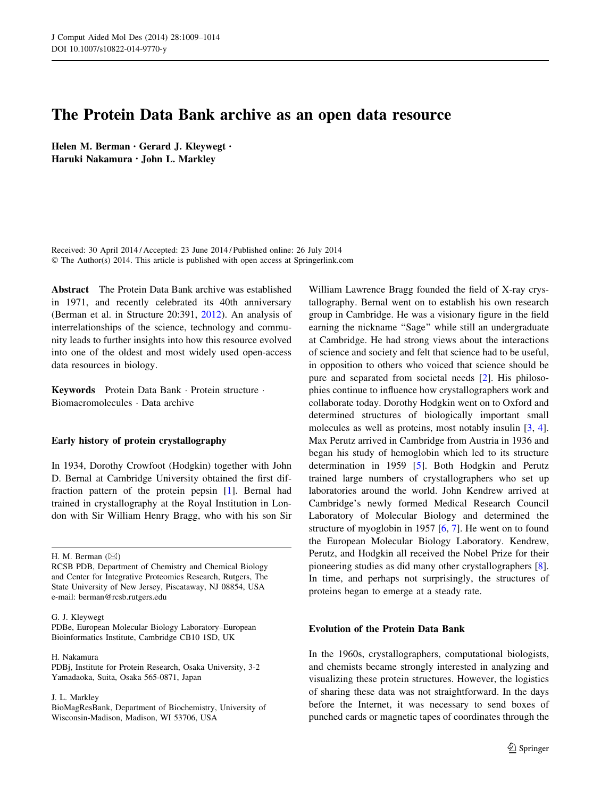# The Protein Data Bank archive as an open data resource

Helen M. Berman • Gerard J. Kleywegt • Haruki Nakamura • John L. Markley

Received: 30 April 2014 / Accepted: 23 June 2014 / Published online: 26 July 2014 © The Author(s) 2014. This article is published with open access at Springerlink.com

Abstract The Protein Data Bank archive was established in 1971, and recently celebrated its 40th anniversary (Berman et al. in Structure 20:391, [2012\)](#page-4-0). An analysis of interrelationships of the science, technology and community leads to further insights into how this resource evolved into one of the oldest and most widely used open-access data resources in biology.

Keywords Protein Data Bank - Protein structure - Biomacromolecules - Data archive

## Early history of protein crystallography

In 1934, Dorothy Crowfoot (Hodgkin) together with John D. Bernal at Cambridge University obtained the first diffraction pattern of the protein pepsin [[1\]](#page-4-0). Bernal had trained in crystallography at the Royal Institution in London with Sir William Henry Bragg, who with his son Sir

H. M. Berman  $(\boxtimes)$ 

PDBe, European Molecular Biology Laboratory–European Bioinformatics Institute, Cambridge CB10 1SD, UK

#### H. Nakamura

PDBj, Institute for Protein Research, Osaka University, 3-2 Yamadaoka, Suita, Osaka 565-0871, Japan

J. L. Markley

BioMagResBank, Department of Biochemistry, University of Wisconsin-Madison, Madison, WI 53706, USA

William Lawrence Bragg founded the field of X-ray crystallography. Bernal went on to establish his own research group in Cambridge. He was a visionary figure in the field earning the nickname "Sage" while still an undergraduate at Cambridge. He had strong views about the interactions of science and society and felt that science had to be useful, in opposition to others who voiced that science should be pure and separated from societal needs [\[2](#page-4-0)]. His philosophies continue to influence how crystallographers work and collaborate today. Dorothy Hodgkin went on to Oxford and determined structures of biologically important small molecules as well as proteins, most notably insulin [[3,](#page-4-0) [4](#page-4-0)]. Max Perutz arrived in Cambridge from Austria in 1936 and began his study of hemoglobin which led to its structure determination in 1959 [[5\]](#page-4-0). Both Hodgkin and Perutz trained large numbers of crystallographers who set up laboratories around the world. John Kendrew arrived at Cambridge's newly formed Medical Research Council Laboratory of Molecular Biology and determined the structure of myoglobin in 1957 [\[6](#page-4-0), [7\]](#page-4-0). He went on to found the European Molecular Biology Laboratory. Kendrew, Perutz, and Hodgkin all received the Nobel Prize for their pioneering studies as did many other crystallographers [\[8](#page-4-0)]. In time, and perhaps not surprisingly, the structures of proteins began to emerge at a steady rate.

## Evolution of the Protein Data Bank

In the 1960s, crystallographers, computational biologists, and chemists became strongly interested in analyzing and visualizing these protein structures. However, the logistics of sharing these data was not straightforward. In the days before the Internet, it was necessary to send boxes of punched cards or magnetic tapes of coordinates through the

RCSB PDB, Department of Chemistry and Chemical Biology and Center for Integrative Proteomics Research, Rutgers, The State University of New Jersey, Piscataway, NJ 08854, USA e-mail: berman@rcsb.rutgers.edu

G. J. Kleywegt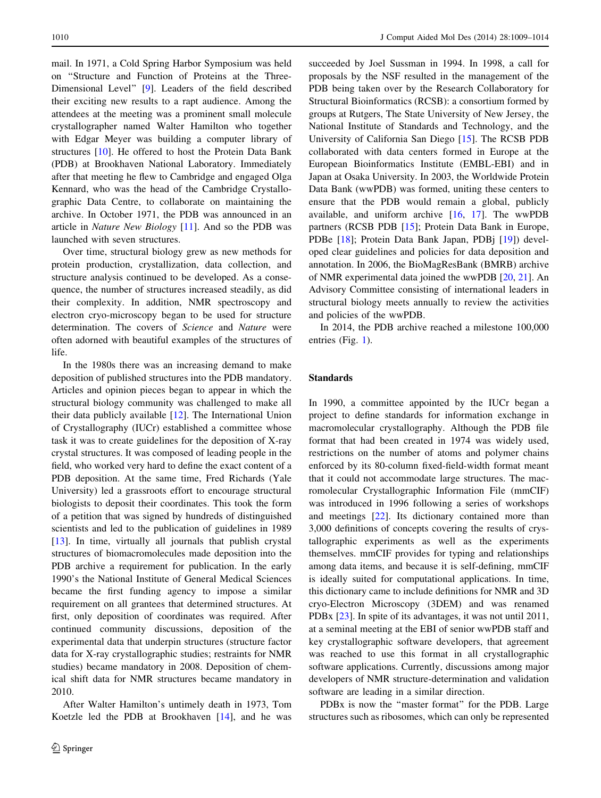mail. In 1971, a Cold Spring Harbor Symposium was held on ''Structure and Function of Proteins at the Three-Dimensional Level'' [\[9](#page-4-0)]. Leaders of the field described their exciting new results to a rapt audience. Among the attendees at the meeting was a prominent small molecule crystallographer named Walter Hamilton who together with Edgar Meyer was building a computer library of structures [[10\]](#page-4-0). He offered to host the Protein Data Bank (PDB) at Brookhaven National Laboratory. Immediately after that meeting he flew to Cambridge and engaged Olga Kennard, who was the head of the Cambridge Crystallographic Data Centre, to collaborate on maintaining the archive. In October 1971, the PDB was announced in an article in Nature New Biology [\[11](#page-4-0)]. And so the PDB was launched with seven structures.

Over time, structural biology grew as new methods for protein production, crystallization, data collection, and structure analysis continued to be developed. As a consequence, the number of structures increased steadily, as did their complexity. In addition, NMR spectroscopy and electron cryo-microscopy began to be used for structure determination. The covers of Science and Nature were often adorned with beautiful examples of the structures of life.

In the 1980s there was an increasing demand to make deposition of published structures into the PDB mandatory. Articles and opinion pieces began to appear in which the structural biology community was challenged to make all their data publicly available [[12\]](#page-4-0). The International Union of Crystallography (IUCr) established a committee whose task it was to create guidelines for the deposition of X-ray crystal structures. It was composed of leading people in the field, who worked very hard to define the exact content of a PDB deposition. At the same time, Fred Richards (Yale University) led a grassroots effort to encourage structural biologists to deposit their coordinates. This took the form of a petition that was signed by hundreds of distinguished scientists and led to the publication of guidelines in 1989 [\[13](#page-4-0)]. In time, virtually all journals that publish crystal structures of biomacromolecules made deposition into the PDB archive a requirement for publication. In the early 1990's the National Institute of General Medical Sciences became the first funding agency to impose a similar requirement on all grantees that determined structures. At first, only deposition of coordinates was required. After continued community discussions, deposition of the experimental data that underpin structures (structure factor data for X-ray crystallographic studies; restraints for NMR studies) became mandatory in 2008. Deposition of chemical shift data for NMR structures became mandatory in 2010.

After Walter Hamilton's untimely death in 1973, Tom Koetzle led the PDB at Brookhaven [[14\]](#page-4-0), and he was succeeded by Joel Sussman in 1994. In 1998, a call for proposals by the NSF resulted in the management of the PDB being taken over by the Research Collaboratory for Structural Bioinformatics (RCSB): a consortium formed by groups at Rutgers, The State University of New Jersey, the National Institute of Standards and Technology, and the University of California San Diego [[15\]](#page-4-0). The RCSB PDB collaborated with data centers formed in Europe at the European Bioinformatics Institute (EMBL-EBI) and in Japan at Osaka University. In 2003, the Worldwide Protein Data Bank (wwPDB) was formed, uniting these centers to ensure that the PDB would remain a global, publicly available, and uniform archive [[16,](#page-4-0) [17](#page-4-0)]. The wwPDB partners (RCSB PDB [\[15](#page-4-0)]; Protein Data Bank in Europe, PDBe [\[18](#page-4-0)]; Protein Data Bank Japan, PDBj [\[19](#page-4-0)]) developed clear guidelines and policies for data deposition and annotation. In 2006, the BioMagResBank (BMRB) archive of NMR experimental data joined the wwPDB [[20,](#page-4-0) [21\]](#page-4-0). An Advisory Committee consisting of international leaders in structural biology meets annually to review the activities and policies of the wwPDB.

In 2014, the PDB archive reached a milestone 100,000 entries (Fig. [1\)](#page-2-0).

## Standards

In 1990, a committee appointed by the IUCr began a project to define standards for information exchange in macromolecular crystallography. Although the PDB file format that had been created in 1974 was widely used, restrictions on the number of atoms and polymer chains enforced by its 80-column fixed-field-width format meant that it could not accommodate large structures. The macromolecular Crystallographic Information File (mmCIF) was introduced in 1996 following a series of workshops and meetings [[22\]](#page-4-0). Its dictionary contained more than 3,000 definitions of concepts covering the results of crystallographic experiments as well as the experiments themselves. mmCIF provides for typing and relationships among data items, and because it is self-defining, mmCIF is ideally suited for computational applications. In time, this dictionary came to include definitions for NMR and 3D cryo-Electron Microscopy (3DEM) and was renamed PDBx [\[23](#page-4-0)]. In spite of its advantages, it was not until 2011, at a seminal meeting at the EBI of senior wwPDB staff and key crystallographic software developers, that agreement was reached to use this format in all crystallographic software applications. Currently, discussions among major developers of NMR structure-determination and validation software are leading in a similar direction.

PDBx is now the "master format" for the PDB. Large structures such as ribosomes, which can only be represented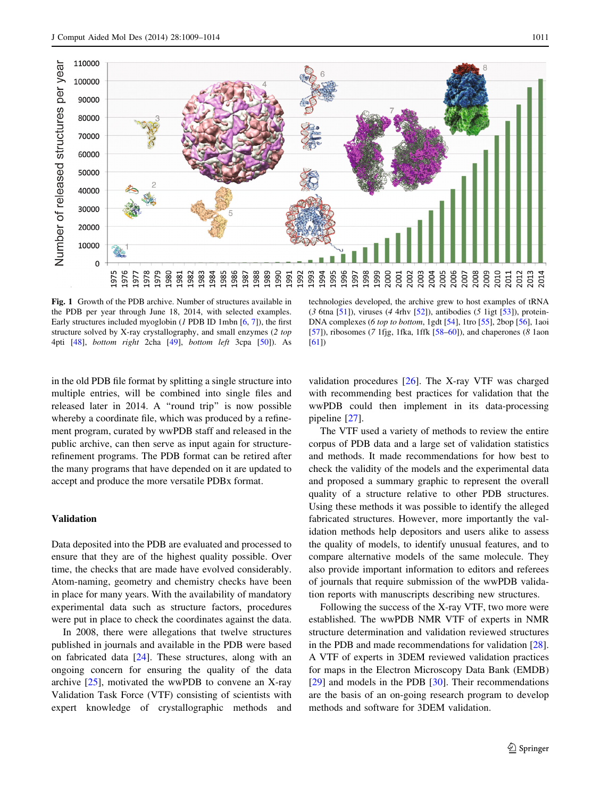<span id="page-2-0"></span>

Fig. 1 Growth of the PDB archive. Number of structures available in the PDB per year through June 18, 2014, with selected examples. Early structures included myoglobin  $(I$  PDB ID 1mbn  $[6, 7]$  $[6, 7]$  $[6, 7]$  $[6, 7]$  $[6, 7]$ ), the first structure solved by X-ray crystallography, and small enzymes (2 top 4pti [[48](#page-5-0)], bottom right 2cha [\[49\]](#page-5-0), bottom left 3cpa [[50](#page-5-0)]). As

in the old PDB file format by splitting a single structure into multiple entries, will be combined into single files and released later in 2014. A ''round trip'' is now possible whereby a coordinate file, which was produced by a refinement program, curated by wwPDB staff and released in the public archive, can then serve as input again for structurerefinement programs. The PDB format can be retired after the many programs that have depended on it are updated to accept and produce the more versatile PDBx format.

## Validation

Data deposited into the PDB are evaluated and processed to ensure that they are of the highest quality possible. Over time, the checks that are made have evolved considerably. Atom-naming, geometry and chemistry checks have been in place for many years. With the availability of mandatory experimental data such as structure factors, procedures were put in place to check the coordinates against the data.

In 2008, there were allegations that twelve structures published in journals and available in the PDB were based on fabricated data [\[24](#page-4-0)]. These structures, along with an ongoing concern for ensuring the quality of the data archive  $[25]$  $[25]$ , motivated the wwPDB to convene an X-ray Validation Task Force (VTF) consisting of scientists with expert knowledge of crystallographic methods and

technologies developed, the archive grew to host examples of tRNA (3 6tna [\[51\]](#page-5-0)), viruses (4 4rhv [[52](#page-5-0)]), antibodies (5 1igt [\[53\]](#page-5-0)), protein-DNA complexes (6 top to bottom, 1gdt [[54\]](#page-5-0), 1tro [[55](#page-5-0)], 2bop [\[56\]](#page-5-0), 1aoi [[57](#page-5-0)]), ribosomes (7 1fjg, 1fka, 1ffk  $[58–60]$  $[58–60]$ ), and chaperones (8 1aon [[61](#page-5-0)])

validation procedures [\[26](#page-4-0)]. The X-ray VTF was charged with recommending best practices for validation that the wwPDB could then implement in its data-processing pipeline [\[27](#page-4-0)].

The VTF used a variety of methods to review the entire corpus of PDB data and a large set of validation statistics and methods. It made recommendations for how best to check the validity of the models and the experimental data and proposed a summary graphic to represent the overall quality of a structure relative to other PDB structures. Using these methods it was possible to identify the alleged fabricated structures. However, more importantly the validation methods help depositors and users alike to assess the quality of models, to identify unusual features, and to compare alternative models of the same molecule. They also provide important information to editors and referees of journals that require submission of the wwPDB validation reports with manuscripts describing new structures.

Following the success of the X-ray VTF, two more were established. The wwPDB NMR VTF of experts in NMR structure determination and validation reviewed structures in the PDB and made recommendations for validation [\[28](#page-4-0)]. A VTF of experts in 3DEM reviewed validation practices for maps in the Electron Microscopy Data Bank (EMDB) [\[29](#page-4-0)] and models in the PDB [[30\]](#page-4-0). Their recommendations are the basis of an on-going research program to develop methods and software for 3DEM validation.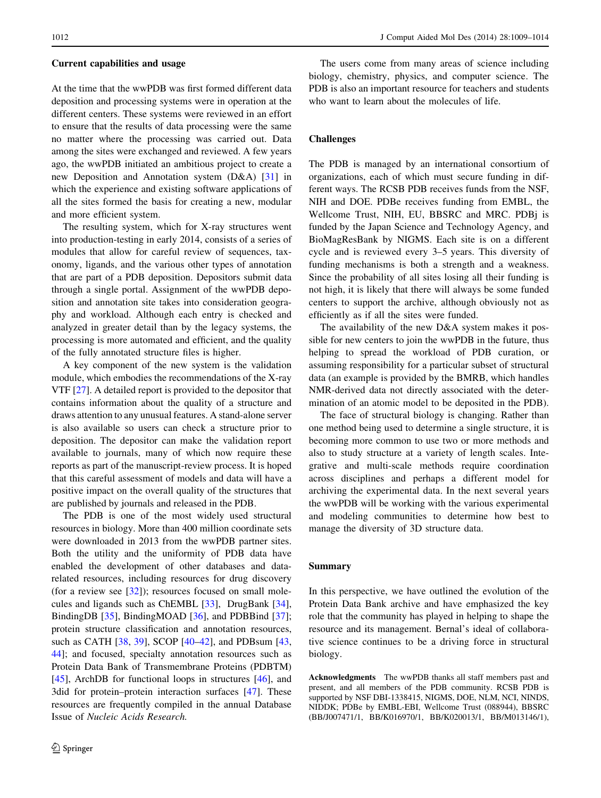#### Current capabilities and usage

At the time that the wwPDB was first formed different data deposition and processing systems were in operation at the different centers. These systems were reviewed in an effort to ensure that the results of data processing were the same no matter where the processing was carried out. Data among the sites were exchanged and reviewed. A few years ago, the wwPDB initiated an ambitious project to create a new Deposition and Annotation system (D&A) [[31\]](#page-4-0) in which the experience and existing software applications of all the sites formed the basis for creating a new, modular and more efficient system.

The resulting system, which for X-ray structures went into production-testing in early 2014, consists of a series of modules that allow for careful review of sequences, taxonomy, ligands, and the various other types of annotation that are part of a PDB deposition. Depositors submit data through a single portal. Assignment of the wwPDB deposition and annotation site takes into consideration geography and workload. Although each entry is checked and analyzed in greater detail than by the legacy systems, the processing is more automated and efficient, and the quality of the fully annotated structure files is higher.

A key component of the new system is the validation module, which embodies the recommendations of the X-ray VTF [\[27](#page-4-0)]. A detailed report is provided to the depositor that contains information about the quality of a structure and draws attention to any unusual features. A stand-alone server is also available so users can check a structure prior to deposition. The depositor can make the validation report available to journals, many of which now require these reports as part of the manuscript-review process. It is hoped that this careful assessment of models and data will have a positive impact on the overall quality of the structures that are published by journals and released in the PDB.

The PDB is one of the most widely used structural resources in biology. More than 400 million coordinate sets were downloaded in 2013 from the wwPDB partner sites. Both the utility and the uniformity of PDB data have enabled the development of other databases and datarelated resources, including resources for drug discovery (for a review see [[32\]](#page-4-0)); resources focused on small molecules and ligands such as ChEMBL [\[33](#page-4-0)], DrugBank [\[34](#page-4-0)], BindingDB [[35](#page-4-0)], BindingMOAD [\[36](#page-4-0)], and PDBBind [\[37](#page-4-0)]; protein structure classification and annotation resources, such as CATH [\[38](#page-4-0), [39\]](#page-4-0), SCOP [[40–42\]](#page-4-0), and PDBsum [[43,](#page-4-0) [44\]](#page-4-0); and focused, specialty annotation resources such as Protein Data Bank of Transmembrane Proteins (PDBTM) [\[45](#page-5-0)], ArchDB for functional loops in structures [[46\]](#page-5-0), and 3did for protein–protein interaction surfaces [[47\]](#page-5-0). These resources are frequently compiled in the annual Database Issue of Nucleic Acids Research.

The users come from many areas of science including biology, chemistry, physics, and computer science. The PDB is also an important resource for teachers and students who want to learn about the molecules of life.

## Challenges

The PDB is managed by an international consortium of organizations, each of which must secure funding in different ways. The RCSB PDB receives funds from the NSF, NIH and DOE. PDBe receives funding from EMBL, the Wellcome Trust, NIH, EU, BBSRC and MRC. PDBj is funded by the Japan Science and Technology Agency, and BioMagResBank by NIGMS. Each site is on a different cycle and is reviewed every 3–5 years. This diversity of funding mechanisms is both a strength and a weakness. Since the probability of all sites losing all their funding is not high, it is likely that there will always be some funded centers to support the archive, although obviously not as efficiently as if all the sites were funded.

The availability of the new D&A system makes it possible for new centers to join the wwPDB in the future, thus helping to spread the workload of PDB curation, or assuming responsibility for a particular subset of structural data (an example is provided by the BMRB, which handles NMR-derived data not directly associated with the determination of an atomic model to be deposited in the PDB).

The face of structural biology is changing. Rather than one method being used to determine a single structure, it is becoming more common to use two or more methods and also to study structure at a variety of length scales. Integrative and multi-scale methods require coordination across disciplines and perhaps a different model for archiving the experimental data. In the next several years the wwPDB will be working with the various experimental and modeling communities to determine how best to manage the diversity of 3D structure data.

#### Summary

In this perspective, we have outlined the evolution of the Protein Data Bank archive and have emphasized the key role that the community has played in helping to shape the resource and its management. Bernal's ideal of collaborative science continues to be a driving force in structural biology.

Acknowledgments The wwPDB thanks all staff members past and present, and all members of the PDB community. RCSB PDB is supported by NSF DBI-1338415, NIGMS, DOE, NLM, NCI, NINDS, NIDDK; PDBe by EMBL-EBI, Wellcome Trust (088944), BBSRC (BB/J007471/1, BB/K016970/1, BB/K020013/1, BB/M013146/1),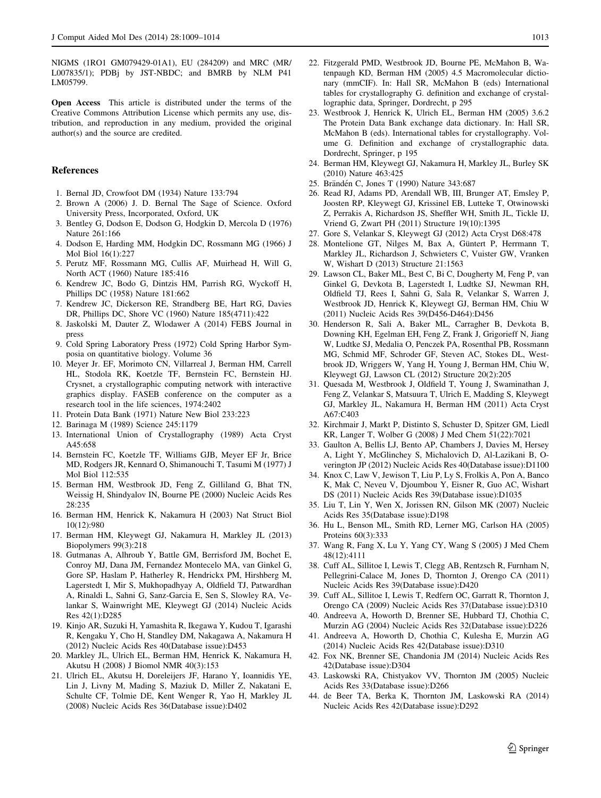<span id="page-4-0"></span>NIGMS (1RO1 GM079429-01A1), EU (284209) and MRC (MR/ L007835/1); PDBj by JST-NBDC; and BMRB by NLM P41 LM05799.

Open Access This article is distributed under the terms of the Creative Commons Attribution License which permits any use, distribution, and reproduction in any medium, provided the original author(s) and the source are credited.

## References

- 1. Bernal JD, Crowfoot DM (1934) Nature 133:794
- 2. Brown A (2006) J. D. Bernal The Sage of Science. Oxford University Press, Incorporated, Oxford, UK
- 3. Bentley G, Dodson E, Dodson G, Hodgkin D, Mercola D (1976) Nature 261:166
- 4. Dodson E, Harding MM, Hodgkin DC, Rossmann MG (1966) J Mol Biol 16(1):227
- 5. Perutz MF, Rossmann MG, Cullis AF, Muirhead H, Will G, North ACT (1960) Nature 185:416
- 6. Kendrew JC, Bodo G, Dintzis HM, Parrish RG, Wyckoff H, Phillips DC (1958) Nature 181:662
- 7. Kendrew JC, Dickerson RE, Strandberg BE, Hart RG, Davies DR, Phillips DC, Shore VC (1960) Nature 185(4711):422
- 8. Jaskolski M, Dauter Z, Wlodawer A (2014) FEBS Journal in press
- 9. Cold Spring Laboratory Press (1972) Cold Spring Harbor Symposia on quantitative biology. Volume 36
- 10. Meyer Jr. EF, Morimoto CN, Villarreal J, Berman HM, Carrell HL, Stodola RK, Koetzle TF, Bernstein FC, Bernstein HJ. Crysnet, a crystallographic computing network with interactive graphics display. FASEB conference on the computer as a research tool in the life sciences, 1974:2402
- 11. Protein Data Bank (1971) Nature New Biol 233:223
- 12. Barinaga M (1989) Science 245:1179
- 13. International Union of Crystallography (1989) Acta Cryst A45:658
- 14. Bernstein FC, Koetzle TF, Williams GJB, Meyer EF Jr, Brice MD, Rodgers JR, Kennard O, Shimanouchi T, Tasumi M (1977) J Mol Biol 112:535
- 15. Berman HM, Westbrook JD, Feng Z, Gilliland G, Bhat TN, Weissig H, Shindyalov IN, Bourne PE (2000) Nucleic Acids Res 28:235
- 16. Berman HM, Henrick K, Nakamura H (2003) Nat Struct Biol 10(12):980
- 17. Berman HM, Kleywegt GJ, Nakamura H, Markley JL (2013) Biopolymers 99(3):218
- 18. Gutmanas A, Alhroub Y, Battle GM, Berrisford JM, Bochet E, Conroy MJ, Dana JM, Fernandez Montecelo MA, van Ginkel G, Gore SP, Haslam P, Hatherley R, Hendrickx PM, Hirshberg M, Lagerstedt I, Mir S, Mukhopadhyay A, Oldfield TJ, Patwardhan A, Rinaldi L, Sahni G, Sanz-Garcia E, Sen S, Slowley RA, Velankar S, Wainwright ME, Kleywegt GJ (2014) Nucleic Acids Res 42(1):D285
- 19. Kinjo AR, Suzuki H, Yamashita R, Ikegawa Y, Kudou T, Igarashi R, Kengaku Y, Cho H, Standley DM, Nakagawa A, Nakamura H (2012) Nucleic Acids Res 40(Database issue):D453
- 20. Markley JL, Ulrich EL, Berman HM, Henrick K, Nakamura H, Akutsu H (2008) J Biomol NMR 40(3):153
- 21. Ulrich EL, Akutsu H, Doreleijers JF, Harano Y, Ioannidis YE, Lin J, Livny M, Mading S, Maziuk D, Miller Z, Nakatani E, Schulte CF, Tolmie DE, Kent Wenger R, Yao H, Markley JL (2008) Nucleic Acids Res 36(Database issue):D402
- 22. Fitzgerald PMD, Westbrook JD, Bourne PE, McMahon B, Watenpaugh KD, Berman HM (2005) 4.5 Macromolecular dictionary (mmCIF). In: Hall SR, McMahon B (eds) International tables for crystallography G. definition and exchange of crystallographic data, Springer, Dordrecht, p 295
- 23. Westbrook J, Henrick K, Ulrich EL, Berman HM (2005) 3.6.2 The Protein Data Bank exchange data dictionary. In: Hall SR, McMahon B (eds). International tables for crystallography. Volume G. Definition and exchange of crystallographic data. Dordrecht, Springer, p 195
- 24. Berman HM, Kleywegt GJ, Nakamura H, Markley JL, Burley SK (2010) Nature 463:425
- 25. Brändén C, Jones T (1990) Nature 343:687
- 26. Read RJ, Adams PD, Arendall WB, III, Brunger AT, Emsley P, Joosten RP, Kleywegt GJ, Krissinel EB, Lutteke T, Otwinowski Z, Perrakis A, Richardson JS, Sheffler WH, Smith JL, Tickle IJ, Vriend G, Zwart PH (2011) Structure 19(10):1395
- 27. Gore S, Velankar S, Kleywegt GJ (2012) Acta Cryst D68:478
- 28. Montelione GT, Nilges M, Bax A, Güntert P, Herrmann T, Markley JL, Richardson J, Schwieters C, Vuister GW, Vranken W, Wishart D (2013) Structure 21:1563
- 29. Lawson CL, Baker ML, Best C, Bi C, Dougherty M, Feng P, van Ginkel G, Devkota B, Lagerstedt I, Ludtke SJ, Newman RH, Oldfield TJ, Rees I, Sahni G, Sala R, Velankar S, Warren J, Westbrook JD, Henrick K, Kleywegt GJ, Berman HM, Chiu W (2011) Nucleic Acids Res 39(D456-D464):D456
- 30. Henderson R, Sali A, Baker ML, Carragher B, Devkota B, Downing KH, Egelman EH, Feng Z, Frank J, Grigorieff N, Jiang W, Ludtke SJ, Medalia O, Penczek PA, Rosenthal PB, Rossmann MG, Schmid MF, Schroder GF, Steven AC, Stokes DL, Westbrook JD, Wriggers W, Yang H, Young J, Berman HM, Chiu W, Kleywegt GJ, Lawson CL (2012) Structure 20(2):205
- 31. Quesada M, Westbrook J, Oldfield T, Young J, Swaminathan J, Feng Z, Velankar S, Matsuura T, Ulrich E, Madding S, Kleywegt GJ, Markley JL, Nakamura H, Berman HM (2011) Acta Cryst A67:C403
- 32. Kirchmair J, Markt P, Distinto S, Schuster D, Spitzer GM, Liedl KR, Langer T, Wolber G (2008) J Med Chem 51(22):7021
- 33. Gaulton A, Bellis LJ, Bento AP, Chambers J, Davies M, Hersey A, Light Y, McGlinchey S, Michalovich D, Al-Lazikani B, Overington JP (2012) Nucleic Acids Res 40(Database issue):D1100
- 34. Knox C, Law V, Jewison T, Liu P, Ly S, Frolkis A, Pon A, Banco K, Mak C, Neveu V, Djoumbou Y, Eisner R, Guo AC, Wishart DS (2011) Nucleic Acids Res 39(Database issue):D1035
- 35. Liu T, Lin Y, Wen X, Jorissen RN, Gilson MK (2007) Nucleic Acids Res 35(Database issue):D198
- 36. Hu L, Benson ML, Smith RD, Lerner MG, Carlson HA (2005) Proteins 60(3):333
- 37. Wang R, Fang X, Lu Y, Yang CY, Wang S (2005) J Med Chem 48(12):4111
- 38. Cuff AL, Sillitoe I, Lewis T, Clegg AB, Rentzsch R, Furnham N, Pellegrini-Calace M, Jones D, Thornton J, Orengo CA (2011) Nucleic Acids Res 39(Database issue):D420
- 39. Cuff AL, Sillitoe I, Lewis T, Redfern OC, Garratt R, Thornton J, Orengo CA (2009) Nucleic Acids Res 37(Database issue):D310
- 40. Andreeva A, Howorth D, Brenner SE, Hubbard TJ, Chothia C, Murzin AG (2004) Nucleic Acids Res 32(Database issue):D226
- 41. Andreeva A, Howorth D, Chothia C, Kulesha E, Murzin AG (2014) Nucleic Acids Res 42(Database issue):D310
- 42. Fox NK, Brenner SE, Chandonia JM (2014) Nucleic Acids Res 42(Database issue):D304
- 43. Laskowski RA, Chistyakov VV, Thornton JM (2005) Nucleic Acids Res 33(Database issue):D266
- 44. de Beer TA, Berka K, Thornton JM, Laskowski RA (2014) Nucleic Acids Res 42(Database issue):D292